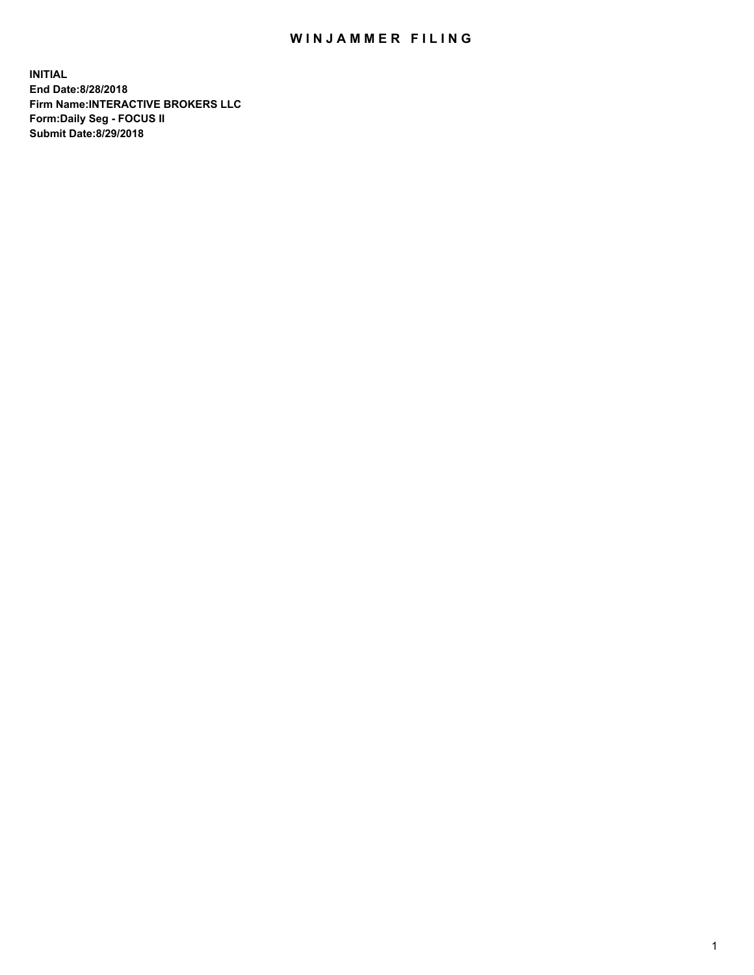## WIN JAMMER FILING

**INITIAL End Date:8/28/2018 Firm Name:INTERACTIVE BROKERS LLC Form:Daily Seg - FOCUS II Submit Date:8/29/2018**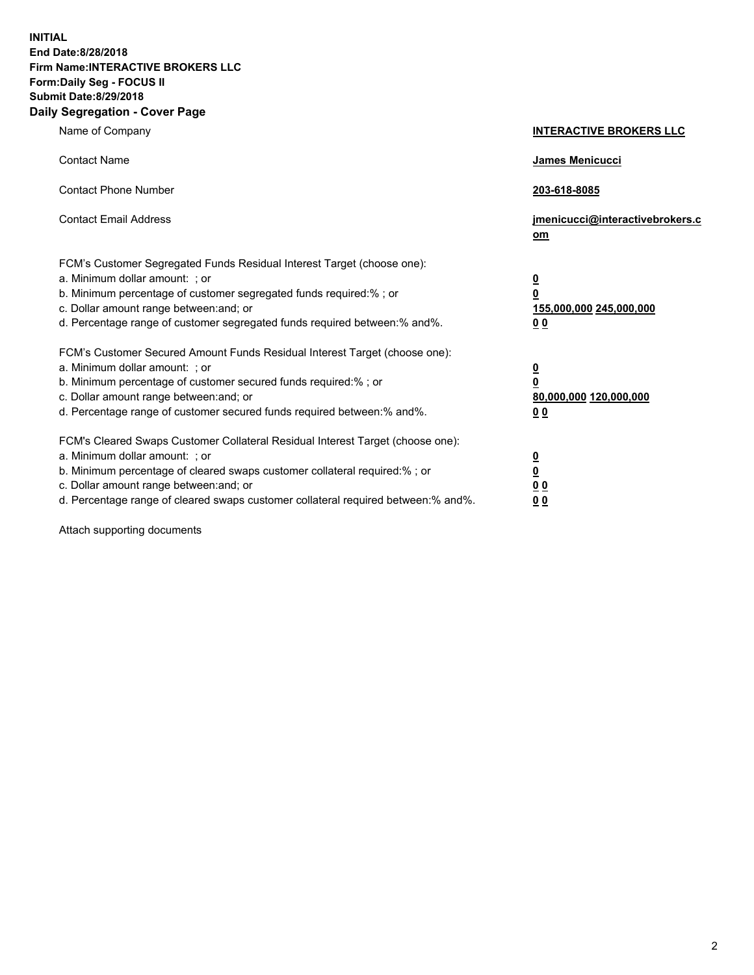**INITIAL End Date:8/28/2018 Firm Name:INTERACTIVE BROKERS LLC Form:Daily Seg - FOCUS II Submit Date:8/29/2018 Daily Segregation - Cover Page**

| Name of Company                                                                                                                                                                                                                                                                                                                | <b>INTERACTIVE BROKERS LLC</b>                                                                  |
|--------------------------------------------------------------------------------------------------------------------------------------------------------------------------------------------------------------------------------------------------------------------------------------------------------------------------------|-------------------------------------------------------------------------------------------------|
| <b>Contact Name</b>                                                                                                                                                                                                                                                                                                            | James Menicucci                                                                                 |
| <b>Contact Phone Number</b>                                                                                                                                                                                                                                                                                                    | 203-618-8085                                                                                    |
| <b>Contact Email Address</b>                                                                                                                                                                                                                                                                                                   | jmenicucci@interactivebrokers.c<br>om                                                           |
| FCM's Customer Segregated Funds Residual Interest Target (choose one):<br>a. Minimum dollar amount: ; or<br>b. Minimum percentage of customer segregated funds required:% ; or<br>c. Dollar amount range between: and; or<br>d. Percentage range of customer segregated funds required between:% and%.                         | $\overline{\mathbf{0}}$<br>$\overline{\mathbf{0}}$<br>155,000,000 245,000,000<br>0 <sub>0</sub> |
| FCM's Customer Secured Amount Funds Residual Interest Target (choose one):<br>a. Minimum dollar amount: ; or<br>b. Minimum percentage of customer secured funds required:% ; or<br>c. Dollar amount range between: and; or<br>d. Percentage range of customer secured funds required between:% and%.                           | $\overline{\mathbf{0}}$<br>0<br>80,000,000 120,000,000<br>0 <sub>0</sub>                        |
| FCM's Cleared Swaps Customer Collateral Residual Interest Target (choose one):<br>a. Minimum dollar amount: ; or<br>b. Minimum percentage of cleared swaps customer collateral required:% ; or<br>c. Dollar amount range between: and; or<br>d. Percentage range of cleared swaps customer collateral required between:% and%. | $\overline{\mathbf{0}}$<br><u>0</u><br>$\underline{0}$ $\underline{0}$<br>00                    |

Attach supporting documents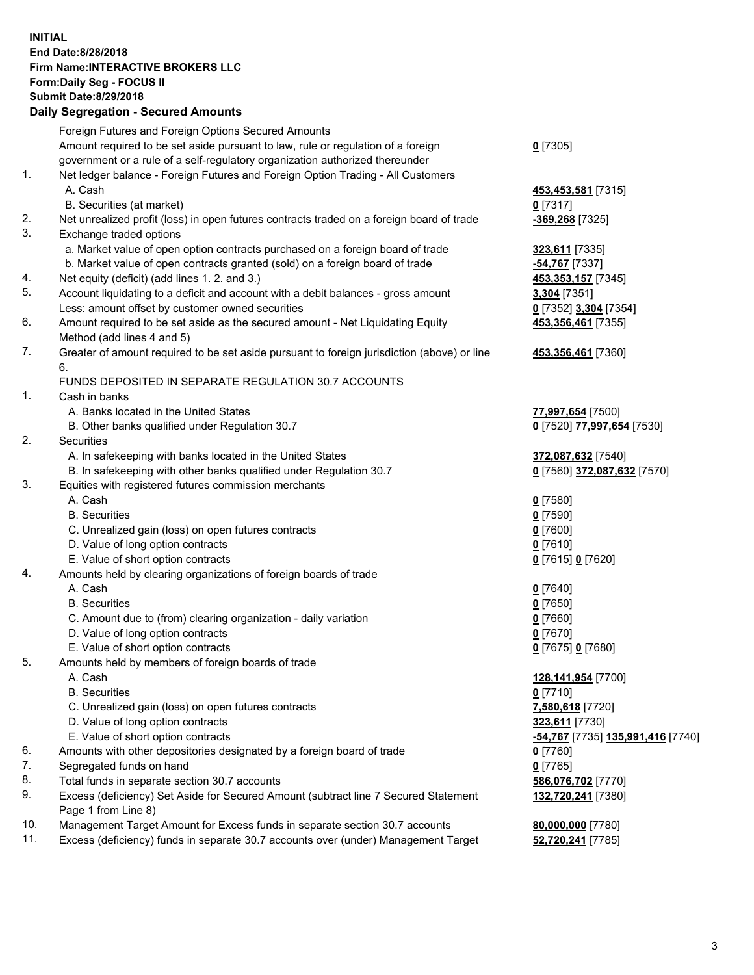## **INITIAL End Date:8/28/2018 Firm Name:INTERACTIVE BROKERS LLC Form:Daily Seg - FOCUS II Submit Date:8/29/2018 Daily Segregation - Secured Amounts**

|     | Daily Segregation - Secured Amounts                                                                |                                                       |
|-----|----------------------------------------------------------------------------------------------------|-------------------------------------------------------|
|     | Foreign Futures and Foreign Options Secured Amounts                                                |                                                       |
|     | Amount required to be set aside pursuant to law, rule or regulation of a foreign                   | $0$ [7305]                                            |
|     | government or a rule of a self-regulatory organization authorized thereunder                       |                                                       |
| 1.  | Net ledger balance - Foreign Futures and Foreign Option Trading - All Customers                    |                                                       |
|     | A. Cash                                                                                            | 453,453,581 [7315]                                    |
|     | B. Securities (at market)                                                                          | $0$ [7317]                                            |
| 2.  | Net unrealized profit (loss) in open futures contracts traded on a foreign board of trade          | -369,268 [7325]                                       |
| 3.  | Exchange traded options                                                                            |                                                       |
|     | a. Market value of open option contracts purchased on a foreign board of trade                     | 323,611 [7335]                                        |
|     | b. Market value of open contracts granted (sold) on a foreign board of trade                       | -54,767 [7337]                                        |
| 4.  | Net equity (deficit) (add lines 1. 2. and 3.)                                                      | 453, 353, 157 [7345]                                  |
| 5.  | Account liquidating to a deficit and account with a debit balances - gross amount                  | 3,304 [7351]                                          |
|     | Less: amount offset by customer owned securities                                                   | 0 [7352] 3,304 [7354]                                 |
| 6.  | Amount required to be set aside as the secured amount - Net Liquidating Equity                     | 453,356,461 [7355]                                    |
|     | Method (add lines 4 and 5)                                                                         |                                                       |
| 7.  | Greater of amount required to be set aside pursuant to foreign jurisdiction (above) or line        | 453,356,461 [7360]                                    |
|     | 6.                                                                                                 |                                                       |
|     | FUNDS DEPOSITED IN SEPARATE REGULATION 30.7 ACCOUNTS                                               |                                                       |
| 1.  | Cash in banks                                                                                      |                                                       |
|     | A. Banks located in the United States                                                              | 77,997,654 [7500]                                     |
|     | B. Other banks qualified under Regulation 30.7                                                     | 0 [7520] 77,997,654 [7530]                            |
| 2.  | Securities                                                                                         |                                                       |
|     | A. In safekeeping with banks located in the United States                                          | 372,087,632 [7540]                                    |
|     | B. In safekeeping with other banks qualified under Regulation 30.7                                 | 0 [7560] 372,087,632 [7570]                           |
| 3.  | Equities with registered futures commission merchants                                              |                                                       |
|     | A. Cash                                                                                            | $0$ [7580]                                            |
|     | <b>B.</b> Securities                                                                               | $0$ [7590]                                            |
|     | C. Unrealized gain (loss) on open futures contracts                                                | $0$ [7600]                                            |
|     | D. Value of long option contracts                                                                  | $0$ [7610]                                            |
|     | E. Value of short option contracts                                                                 | 0 [7615] 0 [7620]                                     |
| 4.  | Amounts held by clearing organizations of foreign boards of trade                                  |                                                       |
|     | A. Cash                                                                                            | $Q$ [7640]                                            |
|     | <b>B.</b> Securities                                                                               | $0$ [7650]                                            |
|     | C. Amount due to (from) clearing organization - daily variation                                    | $0$ [7660]                                            |
|     | D. Value of long option contracts                                                                  | $0$ [7670]                                            |
|     | E. Value of short option contracts                                                                 | 0 [7675] 0 [7680]                                     |
| 5.  | Amounts held by members of foreign boards of trade                                                 |                                                       |
|     | A. Cash                                                                                            | 128,141,954 [7700]                                    |
|     | <b>B.</b> Securities                                                                               | $0$ [7710]                                            |
|     | C. Unrealized gain (loss) on open futures contracts                                                | 7,580,618 [7720]                                      |
|     | D. Value of long option contracts                                                                  | 323,611 [7730]                                        |
|     | E. Value of short option contracts                                                                 | <mark>-54,767</mark> [7735] <b>135,991,416</b> [7740] |
| 6.  | Amounts with other depositories designated by a foreign board of trade                             | 0 [7760]                                              |
| 7.  | Segregated funds on hand                                                                           | $0$ [7765]                                            |
| 8.  | Total funds in separate section 30.7 accounts                                                      | 586,076,702 [7770]                                    |
| 9.  | Excess (deficiency) Set Aside for Secured Amount (subtract line 7 Secured Statement                | 132,720,241 [7380]                                    |
| 10. | Page 1 from Line 8)<br>Management Target Amount for Excess funds in separate section 30.7 accounts |                                                       |
| 11. | Excess (deficiency) funds in separate 30.7 accounts over (under) Management Target                 | 80,000,000 [7780]                                     |
|     |                                                                                                    | 52,720,241 [7785]                                     |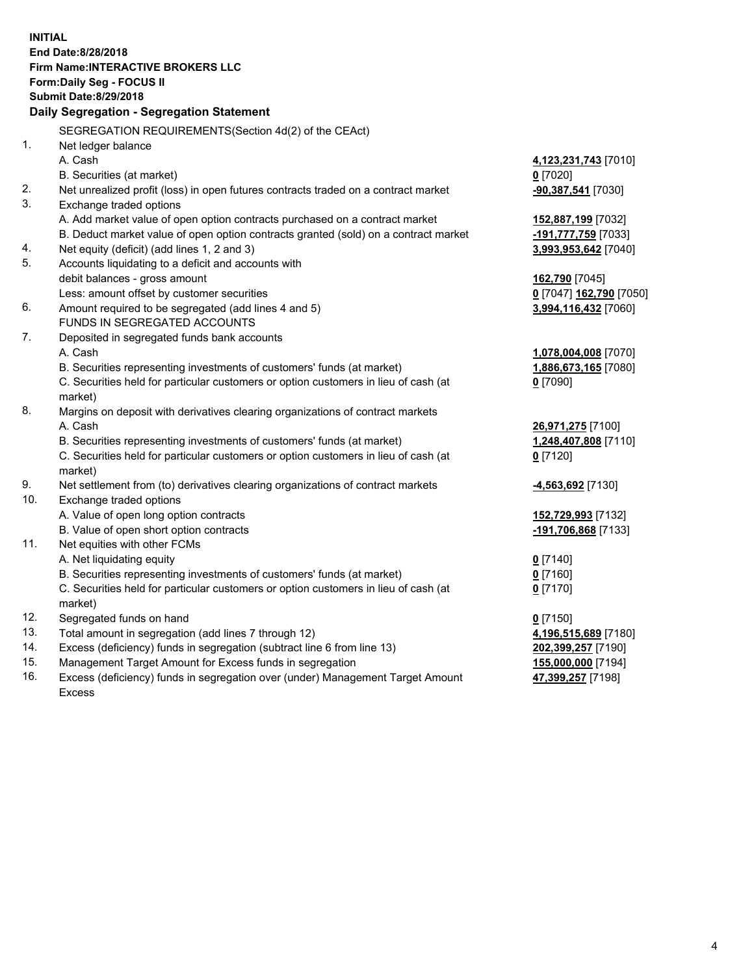**INITIAL End Date:8/28/2018 Firm Name:INTERACTIVE BROKERS LLC Form:Daily Seg - FOCUS II Submit Date:8/29/2018 Daily Segregation - Segregation Statement** SEGREGATION REQUIREMENTS(Section 4d(2) of the CEAct) 1. Net ledger balance A. Cash **4,123,231,743** [7010] B. Securities (at market) **0** [7020] 2. Net unrealized profit (loss) in open futures contracts traded on a contract market **-90,387,541** [7030] 3. Exchange traded options A. Add market value of open option contracts purchased on a contract market **152,887,199** [7032] B. Deduct market value of open option contracts granted (sold) on a contract market **-191,777,759** [7033] 4. Net equity (deficit) (add lines 1, 2 and 3) **3,993,953,642** [7040] 5. Accounts liquidating to a deficit and accounts with debit balances - gross amount **162,790** [7045] Less: amount offset by customer securities **0** [7047] **162,790** [7050] 6. Amount required to be segregated (add lines 4 and 5) **3,994,116,432** [7060] FUNDS IN SEGREGATED ACCOUNTS 7. Deposited in segregated funds bank accounts A. Cash **1,078,004,008** [7070] B. Securities representing investments of customers' funds (at market) **1,886,673,165** [7080] C. Securities held for particular customers or option customers in lieu of cash (at market) **0** [7090] 8. Margins on deposit with derivatives clearing organizations of contract markets A. Cash **26,971,275** [7100] B. Securities representing investments of customers' funds (at market) **1,248,407,808** [7110] C. Securities held for particular customers or option customers in lieu of cash (at market) **0** [7120] 9. Net settlement from (to) derivatives clearing organizations of contract markets **-4,563,692** [7130] 10. Exchange traded options A. Value of open long option contracts **152,729,993** [7132] B. Value of open short option contracts **-191,706,868** [7133] 11. Net equities with other FCMs A. Net liquidating equity **0** [7140] B. Securities representing investments of customers' funds (at market) **0** [7160] C. Securities held for particular customers or option customers in lieu of cash (at market) **0** [7170] 12. Segregated funds on hand **0** [7150] 13. Total amount in segregation (add lines 7 through 12) **4,196,515,689** [7180] 14. Excess (deficiency) funds in segregation (subtract line 6 from line 13) **202,399,257** [7190] 15. Management Target Amount for Excess funds in segregation **155,000,000** [7194] 16. Excess (deficiency) funds in segregation over (under) Management Target Amount **47,399,257** [7198]

Excess